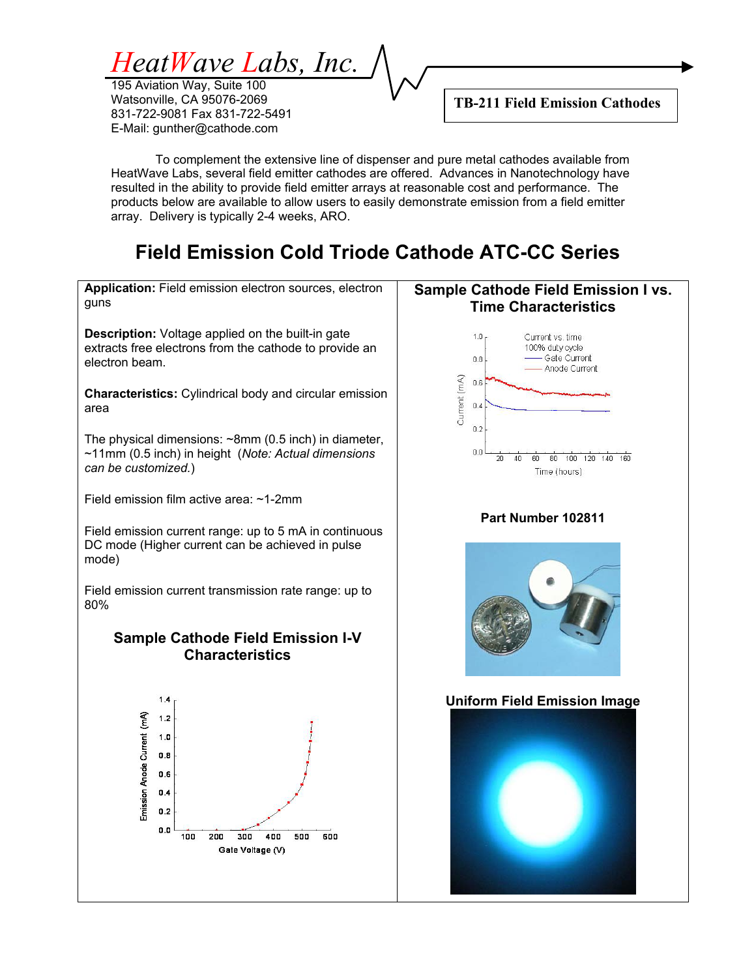*HeatWave Labs, Inc.* 

To complement the extensive line of dispenser and pure metal cathodes available from HeatWave Labs, several field emitter cathodes are offered. Advances in Nanotechnology have resulted in the ability to provide field emitter arrays at reasonable cost and performance. The products below are available to allow users to easily demonstrate emission from a field emitter array. Delivery is typically 2-4 weeks, ARO.

# **Field Emission Cold Triode Cathode ATC-CC Series**

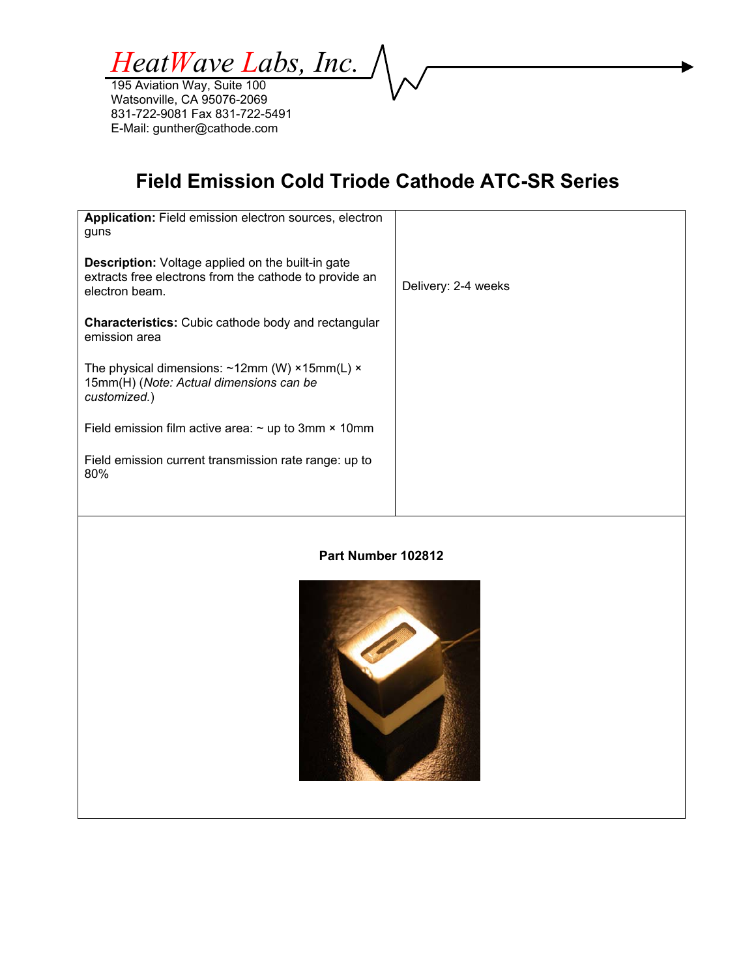*HeatWave Labs, Inc.* 

# **Field Emission Cold Triode Cathode ATC-SR Series**

| <b>Application:</b> Field emission electron sources, electron<br>guns                                                                |                     |
|--------------------------------------------------------------------------------------------------------------------------------------|---------------------|
| <b>Description:</b> Voltage applied on the built-in gate<br>extracts free electrons from the cathode to provide an<br>electron beam. | Delivery: 2-4 weeks |
| <b>Characteristics:</b> Cubic cathode body and rectangular<br>emission area                                                          |                     |
| The physical dimensions: $\sim$ 12mm (W) ×15mm(L) ×<br>15mm(H) (Note: Actual dimensions can be<br>customized.)                       |                     |
| Field emission film active area: $\sim$ up to 3mm $\times$ 10mm                                                                      |                     |
| Field emission current transmission rate range: up to<br>80%                                                                         |                     |
|                                                                                                                                      |                     |

#### **Part Number 102812**

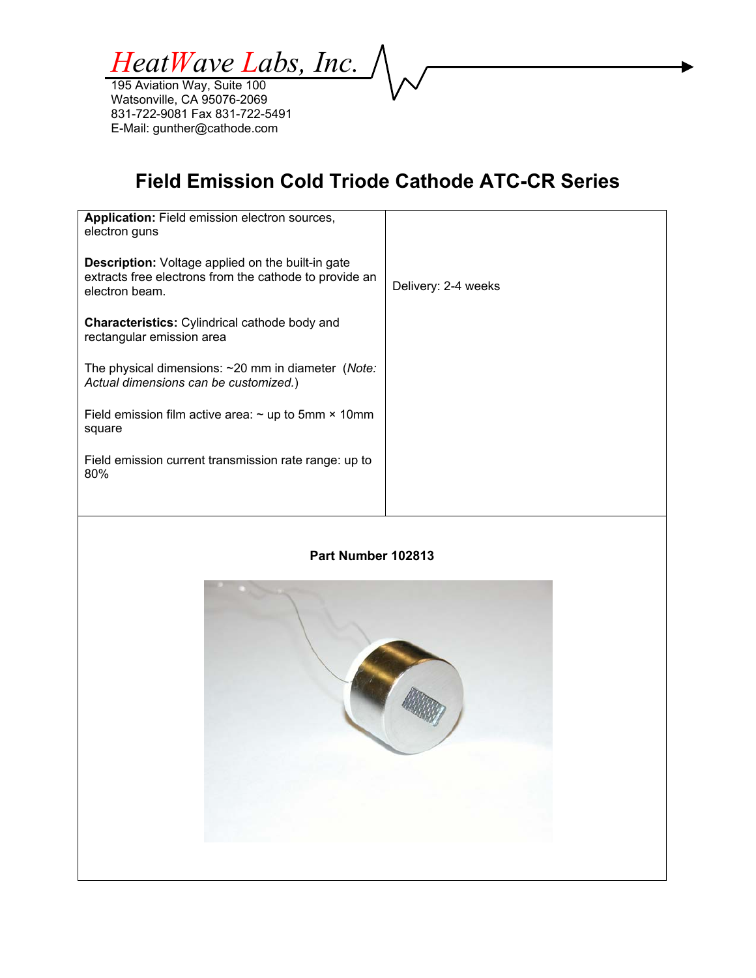*HeatWave Labs, Inc.* 

# **Field Emission Cold Triode Cathode ATC-CR Series**

| Application: Field emission electron sources,<br>electron guns                                                                       |                     |
|--------------------------------------------------------------------------------------------------------------------------------------|---------------------|
| <b>Description:</b> Voltage applied on the built-in gate<br>extracts free electrons from the cathode to provide an<br>electron beam. | Delivery: 2-4 weeks |
| <b>Characteristics:</b> Cylindrical cathode body and<br>rectangular emission area                                                    |                     |
| The physical dimensions: $\sim$ 20 mm in diameter ( <i>Note:</i><br>Actual dimensions can be customized.)                            |                     |
| Field emission film active area: $\sim$ up to 5mm $\times$ 10mm<br>square                                                            |                     |
| Field emission current transmission rate range: up to<br>80%                                                                         |                     |
|                                                                                                                                      |                     |

#### **Part Number 102813**